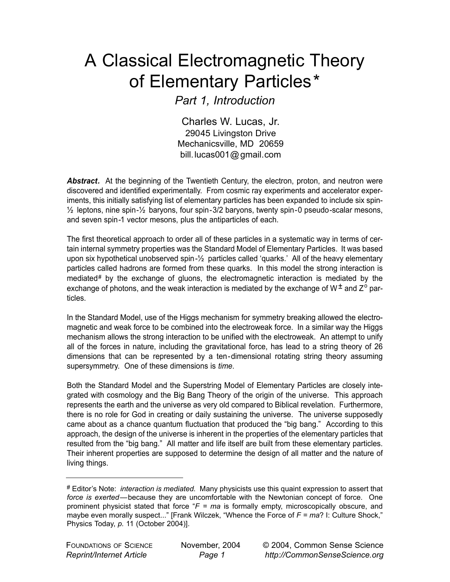## A Classical Electromagnetic Theory of Elementary Particles\*

*Part 1, Introduction*

Charles W. Lucas, Jr. 29045 Livingston Drive Mechanicsville, MD 20659 bill.lucas001@ gmail.com

**Abstract.** At the beginning of the Twentieth Century, the electron, proton, and neutron were discovered and identified experimentally. From cosmic ray experiments and accelerator experiments, this initially satisfying list of elementary particles has been expanded to include six spin- ½ leptons, nine spin-½ baryons, four spin-3/2 baryons, twenty spin-0 pseudo-scalar mesons, and seven spin-1 vector mesons, plus the antiparticles of each.

The first theoretical approach to order all of these particles in a systematic way in terms of certain internal symmetry properties was the Standard Model of Elementary Particles. It was based upon six hypothetical unobserved spin-½ particles called 'quarks.' All of the heavy elementary particles called hadrons are formed from these quarks. In this model the strong interaction is mediated $#$  by the exchange of gluons, the electromagnetic interaction is mediated by the exchange of photons, and the weak interaction is mediated by the exchange of  $W^{\pm}$  and  $Z^{\circ}$  particles.

In the Standard Model, use of the Higgs mechanism for symmetry breaking allowed the electromagnetic and weak force to be combined into the electroweak force. In a similar way the Higgs mechanism allows the strong interaction to be unified with the electroweak. An attempt to unify all of the forces in nature, including the gravitational force, has lead to a string theory of 26 dimensions that can be represented by a ten-dimensional rotating string theory assuming supersymmetry. One of these dimensions is *time*.

Both the Standard Model and the Superstring Model of Elementary Particles are closely integrated with cosmology and the Big Bang Theory of the origin of the universe. This approach represents the earth and the universe as very old compared to Biblical revelation. Furthermore, there is no role for God in creating or daily sustaining the universe. The universe supposedly came about as a chance quantum fluctuation that produced the "big bang." According to this approach, the design of the universe is inherent in the properties of the elementary particles that resulted from the "big bang." All matter and life itself are built from these elementary particles. Their inherent properties are supposed to determine the design of all matter and the nature of living things.

<sup>#</sup> Editor's Note: *interaction is mediated.* Many physicists use this quaint expression to assert that *force is exerted*—because they are uncomfortable with the Newtonian concept of force. One prominent physicist stated that force "*F = ma* is formally empty, microscopically obscure, and maybe even morally suspect..." [Frank Wilczek, "Whence the Force of *F = ma*? I: Culture Shock," Physics Today, *p.* 11 (October 2004)].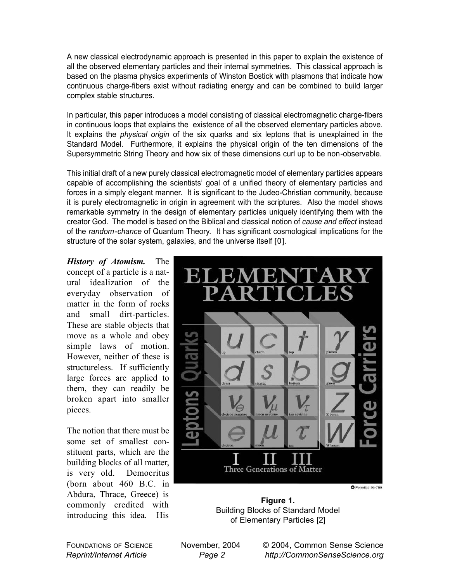A new classical electrodynamic approach is presented in this paper to explain the existence of all the observed elementary particles and their internal symmetries. This classical approach is based on the plasma physics experiments of Winston Bostick with plasmons that indicate how continuous charge-fibers exist without radiating energy and can be combined to build larger complex stable structures.

In particular, this paper introduces a model consisting of classical electromagnetic charge-fibers in continuous loops that explains the existence of all the observed elementary particles above. It explains the *physical origin* of the six quarks and six leptons that is unexplained in the Standard Model. Furthermore, it explains the physical origin of the ten dimensions of the Supersymmetric String Theory and how six of these dimensions curl up to be non-observable.

This initial draft of a new purely classical electromagnetic model of elementary particles appears capable of accomplishing the scientists' goal of a unified theory of elementary particles and forces in a simply elegant manner. It is significant to the Judeo-Christian community, because it is purely electromagnetic in origin in agreement with the scriptures. Also the model shows remarkable symmetry in the design of elementary particles uniquely identifying them with the creator God. The model is based on the Biblical and classical notion of *cause and effect* instead of the *random-chance* of Quantum Theory. It has significant cosmological implications for the structure of the solar system, galaxies, and the universe itself [0].

*History of Atomism.* The concept of a particle is a natural idealization of the everyday observation of matter in the form of rocks and small dirt-particles. These are stable objects that move as a whole and obey simple laws of motion. However, neither of these is structureless. If sufficiently large forces are applied to them, they can readily be broken apart into smaller pieces.

The notion that there must be some set of smallest constituent parts, which are the building blocks of all matter, is very old. Democritus (born about 460 B.C. in Abdura, Thrace, Greece) is commonly credited with introducing this idea. His



**Figure 1.** Building Blocks of Standard Model of Elementary Particles [2]

FOUNDATIONS OF SCIENCE *Reprint/Internet Article*

© 2004, Common Sense Science *http://CommonSenseScience.org*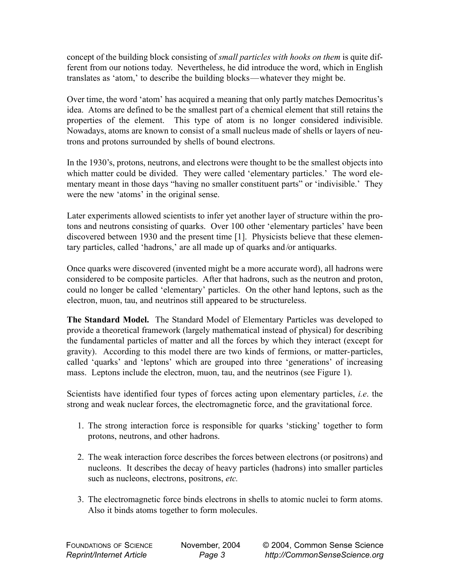concept of the building block consisting of *small particles with hooks on them* is quite different from our notions today. Nevertheless, he did introduce the word, which in English translates as 'atom,' to describe the building blocks—whatever they might be.

Over time, the word 'atom' has acquired a meaning that only partly matches Democritus's idea. Atoms are defined to be the smallest part of a chemical element that still retains the properties of the element. This type of atom is no longer considered indivisible. Nowadays, atoms are known to consist of a small nucleus made of shells or layers of neutrons and protons surrounded by shells of bound electrons.

In the 1930's, protons, neutrons, and electrons were thought to be the smallest objects into which matter could be divided. They were called 'elementary particles.' The word elementary meant in those days "having no smaller constituent parts" or 'indivisible.' They were the new 'atoms' in the original sense.

Later experiments allowed scientists to infer yet another layer of structure within the protons and neutrons consisting of quarks. Over 100 other 'elementary particles' have been discovered between 1930 and the present time [1]. Physicists believe that these elementary particles, called 'hadrons,' are all made up of quarks and /or antiquarks.

Once quarks were discovered (invented might be a more accurate word), all hadrons were considered to be composite particles. After that hadrons, such as the neutron and proton, could no longer be called 'elementary' particles. On the other hand leptons, such as the electron, muon, tau, and neutrinos still appeared to be structureless.

**The Standard Model.** The Standard Model of Elementary Particles was developed to provide a theoretical framework (largely mathematical instead of physical) for describing the fundamental particles of matter and all the forces by which they interact (except for gravity). According to this model there are two kinds of fermions, or matter-particles, called 'quarks' and 'leptons' which are grouped into three 'generations' of increasing mass. Leptons include the electron, muon, tau, and the neutrinos (see Figure 1).

Scientists have identified four types of forces acting upon elementary particles, *i.e*. the strong and weak nuclear forces, the electromagnetic force, and the gravitational force.

- 1. The strong interaction force is responsible for quarks 'sticking' together to form protons, neutrons, and other hadrons.
- 2. The weak interaction force describes the forces between electrons (or positrons) and nucleons. It describes the decay of heavy particles (hadrons) into smaller particles such as nucleons, electrons, positrons, *etc.*
- 3. The electromagnetic force binds electrons in shells to atomic nuclei to form atoms. Also it binds atoms together to form molecules.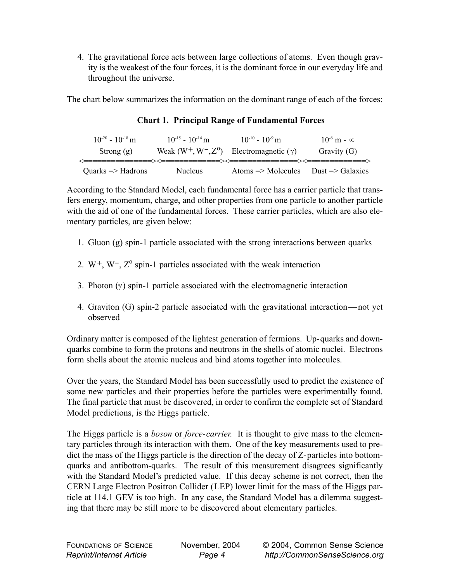4. The gravitational force acts between large collections of atoms. Even though gravity is the weakest of the four forces, it is the dominant force in our everyday life and throughout the universe.

The chart below summarizes the information on the dominant range of each of the forces:

| $10^{-20} - 10^{-18}$ m      | $10^{-15} - 10^{-14}$ m | $10^{-10} - 10^{-9}$ m                                    | $10^{-6}$ m - $\infty$ |
|------------------------------|-------------------------|-----------------------------------------------------------|------------------------|
| Strong $(g)$                 | Weak $(W^+, W^-, Z^0)$  | Electromagnetic $(\gamma)$                                | Gravity $(G)$          |
|                              |                         |                                                           |                        |
| Quarks $\Rightarrow$ Hadrons | <b>Nucleus</b>          | Atoms $\Rightarrow$ Molecules Dust $\Rightarrow$ Galaxies |                        |

**Chart 1. Principal Range of Fundamental Forces**

According to the Standard Model, each fundamental force has a carrier particle that transfers energy, momentum, charge, and other properties from one particle to another particle with the aid of one of the fundamental forces. These carrier particles, which are also elementary particles, are given below:

- 1. Gluon (g) spin-1 particle associated with the strong interactions between quarks
- 2.  $W^+$ ,  $W^-$ ,  $Z^0$  spin-1 particles associated with the weak interaction
- 3. Photon (γ) spin-1 particle associated with the electromagnetic interaction
- 4. Graviton (G) spin-2 particle associated with the gravitational interaction— not yet observed

Ordinary matter is composed of the lightest generation of fermions. Up-quarks and downquarks combine to form the protons and neutrons in the shells of atomic nuclei. Electrons form shells about the atomic nucleus and bind atoms together into molecules.

Over the years, the Standard Model has been successfully used to predict the existence of some new particles and their properties before the particles were experimentally found. The final particle that must be discovered, in order to confirm the complete set of Standard Model predictions, is the Higgs particle.

The Higgs particle is a *boson* or *force-carrier.* It is thought to give mass to the elementary particles through its interaction with them. One of the key measurements used to predict the mass of the Higgs particle is the direction of the decay of Z-particles into bottomquarks and antibottom-quarks. The result of this measurement disagrees significantly with the Standard Model's predicted value. If this decay scheme is not correct, then the CERN Large Electron Positron Collider (LEP) lower limit for the mass of the Higgs particle at 114.1 GEV is too high. In any case, the Standard Model has a dilemma suggesting that there may be still more to be discovered about elementary particles.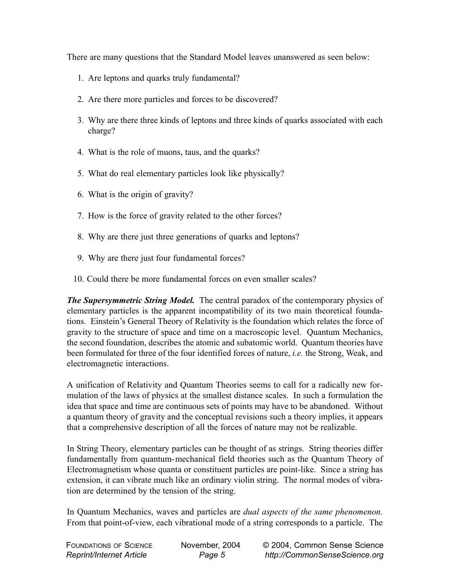There are many questions that the Standard Model leaves unanswered as seen below:

- 1. Are leptons and quarks truly fundamental?
- 2. Are there more particles and forces to be discovered?
- 3. Why are there three kinds of leptons and three kinds of quarks associated with each charge?
- 4. What is the role of muons, taus, and the quarks?
- 5. What do real elementary particles look like physically?
- 6. What is the origin of gravity?
- 7. How is the force of gravity related to the other forces?
- 8. Why are there just three generations of quarks and leptons?
- 9. Why are there just four fundamental forces?
- 10. Could there be more fundamental forces on even smaller scales?

*The Supersymmetric String Model.* The central paradox of the contemporary physics of elementary particles is the apparent incompatibility of its two main theoretical foundations. Einstein's General Theory of Relativity is the foundation which relates the force of gravity to the structure of space and time on a macroscopic level. Quantum Mechanics, the second foundation, describes the atomic and subatomic world. Quantum theories have been formulated for three of the four identified forces of nature, *i.e.* the Strong, Weak, and electromagnetic interactions.

A unification of Relativity and Quantum Theories seems to call for a radically new formulation of the laws of physics at the smallest distance scales. In such a formulation the idea that space and time are continuous sets of points may have to be abandoned. Without a quantum theory of gravity and the conceptual revisions such a theory implies, it appears that a comprehensive description of all the forces of nature may not be realizable.

In String Theory, elementary particles can be thought of as strings. String theories differ fundamentally from quantum-mechanical field theories such as the Quantum Theory of Electromagnetism whose quanta or constituent particles are point-like. Since a string has extension, it can vibrate much like an ordinary violin string. The normal modes of vibration are determined by the tension of the string.

In Quantum Mechanics, waves and particles are *dual aspects of the same phenomenon.* From that point-of-view, each vibrational mode of a string corresponds to a particle. The

| <b>FOUNDATIONS OF SCIENCE</b> | November, 2004 | © 2004, Common Sense Science  |
|-------------------------------|----------------|-------------------------------|
| Reprint/Internet Article      | Page 5         | http://CommonSenseScience.org |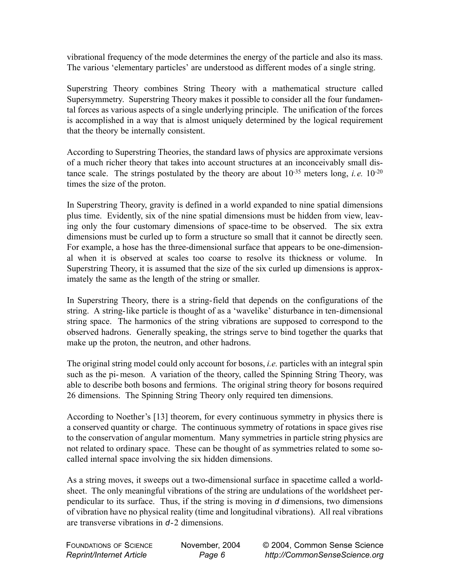vibrational frequency of the mode determines the energy of the particle and also its mass. The various 'elementary particles' are understood as different modes of a single string.

Superstring Theory combines String Theory with a mathematical structure called Supersymmetry. Superstring Theory makes it possible to consider all the four fundamental forces as various aspects of a single underlying principle. The unification of the forces is accomplished in a way that is almost uniquely determined by the logical requirement that the theory be internally consistent.

According to Superstring Theories, the standard laws of physics are approximate versions of a much richer theory that takes into account structures at an inconceivably small distance scale. The strings postulated by the theory are about  $10^{-35}$  meters long, *i.e.*  $10^{-20}$ times the size of the proton.

In Superstring Theory, gravity is defined in a world expanded to nine spatial dimensions plus time. Evidently, six of the nine spatial dimensions must be hidden from view, leaving only the four customary dimensions of space-time to be observed. The six extra dimensions must be curled up to form a structure so small that it cannot be directly seen. For example, a hose has the three-dimensional surface that appears to be one-dimensional when it is observed at scales too coarse to resolve its thickness or volume. In Superstring Theory, it is assumed that the size of the six curled up dimensions is approximately the same as the length of the string or smaller.

In Superstring Theory, there is a string-field that depends on the configurations of the string. A string-like particle is thought of as a 'wavelike' disturbance in ten-dimensional string space. The harmonics of the string vibrations are supposed to correspond to the observed hadrons. Generally speaking, the strings serve to bind together the quarks that make up the proton, the neutron, and other hadrons.

The original string model could only account for bosons, *i.e.* particles with an integral spin such as the pi- meson. A variation of the theory, called the Spinning String Theory, was able to describe both bosons and fermions. The original string theory for bosons required 26 dimensions. The Spinning String Theory only required ten dimensions.

According to Noether's [13] theorem, for every continuous symmetry in physics there is a conserved quantity or charge. The continuous symmetry of rotations in space gives rise to the conservation of angular momentum. Many symmetries in particle string physics are not related to ordinary space. These can be thought of as symmetries related to some socalled internal space involving the six hidden dimensions.

As a string moves, it sweeps out a two-dimensional surface in spacetime called a worldsheet. The only meaningful vibrations of the string are undulations of the worldsheet perpendicular to its surface. Thus, if the string is moving in *d* dimensions, two dimensions of vibration have no physical reality (time and longitudinal vibrations). All real vibrations are transverse vibrations in *d*-2 dimensions.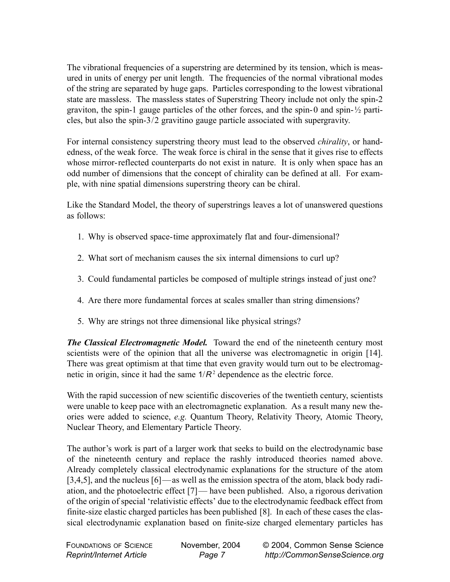The vibrational frequencies of a superstring are determined by its tension, which is measured in units of energy per unit length. The frequencies of the normal vibrational modes of the string are separated by huge gaps. Particles corresponding to the lowest vibrational state are massless. The massless states of Superstring Theory include not only the spin-2 graviton, the spin-1 gauge particles of the other forces, and the spin-0 and spin-½ particles, but also the spin-3/2 gravitino gauge particle associated with supergravity.

For internal consistency superstring theory must lead to the observed *chirality*, or handedness, of the weak force. The weak force is chiral in the sense that it gives rise to effects whose mirror-reflected counterparts do not exist in nature. It is only when space has an odd number of dimensions that the concept of chirality can be defined at all. For example, with nine spatial dimensions superstring theory can be chiral.

Like the Standard Model, the theory of superstrings leaves a lot of unanswered questions as follows:

- 1. Why is observed space-time approximately flat and four-dimensional?
- 2. What sort of mechanism causes the six internal dimensions to curl up?
- 3. Could fundamental particles be composed of multiple strings instead of just one?
- 4. Are there more fundamental forces at scales smaller than string dimensions?
- 5. Why are strings not three dimensional like physical strings?

*The Classical Electromagnetic Model.* Toward the end of the nineteenth century most scientists were of the opinion that all the universe was electromagnetic in origin [14]. There was great optimism at that time that even gravity would turn out to be electromagnetic in origin, since it had the same  $1/R^2$  dependence as the electric force.

With the rapid succession of new scientific discoveries of the twentieth century, scientists were unable to keep pace with an electromagnetic explanation. As a result many new theories were added to science, *e.g.* Quantum Theory, Relativity Theory, Atomic Theory, Nuclear Theory, and Elementary Particle Theory.

The author's work is part of a larger work that seeks to build on the electrodynamic base of the nineteenth century and replace the rashly introduced theories named above. Already completely classical electrodynamic explanations for the structure of the atom [3,4,5], and the nucleus [6]—as well as the emission spectra of the atom, black body radiation, and the photoelectric effect [7]— have been published. Also, a rigorous derivation of the origin of special 'relativistic effects' due to the electrodynamic feedback effect from finite-size elastic charged particles has been published [8]. In each of these cases the classical electrodynamic explanation based on finite-size charged elementary particles has

| <b>FOUNDATIONS OF SCIENCE</b>   | November, 2004 | © 2004, Common Sense Science  |
|---------------------------------|----------------|-------------------------------|
| <b>Reprint/Internet Article</b> | Page 7         | http://CommonSenseScience.org |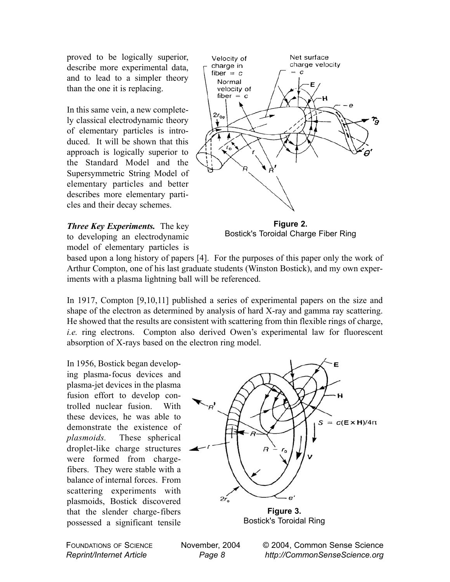proved to be logically superior, describe more experimental data, and to lead to a simpler theory than the one it is replacing.

In this same vein, a new completely classical electrodynamic theory of elementary particles is introduced. It will be shown that this approach is logically superior to the Standard Model and the Supersymmetric String Model of elementary particles and better describes more elementary particles and their decay schemes.





**Figure 2.** Bostick's Toroidal Charge Fiber Ring

based upon a long history of papers [4]. For the purposes of this paper only the work of Arthur Compton, one of his last graduate students (Winston Bostick), and my own experiments with a plasma lightning ball will be referenced.

In 1917, Compton [9,10,11] published a series of experimental papers on the size and shape of the electron as determined by analysis of hard X-ray and gamma ray scattering. He showed that the results are consistent with scattering from thin flexible rings of charge, *i.e.* ring electrons. Compton also derived Owen's experimental law for fluorescent absorption of X-rays based on the electron ring model.

In 1956, Bostick began developing plasma-focus devices and plasma-jet devices in the plasma fusion effort to develop controlled nuclear fusion. With these devices, he was able to demonstrate the existence of *plasmoids.* These spherical droplet-like charge structures were formed from chargefibers. They were stable with a balance of internal forces. From scattering experiments with plasmoids, Bostick discovered that the slender charge-fibers possessed a significant tensile



Bostick's Toroidal Ring

FOUNDATIONS OF SCIENCE *Reprint/Internet Article*

November, 2004 *Page 8*

© 2004, Common Sense Science *http://CommonSenseScience.org*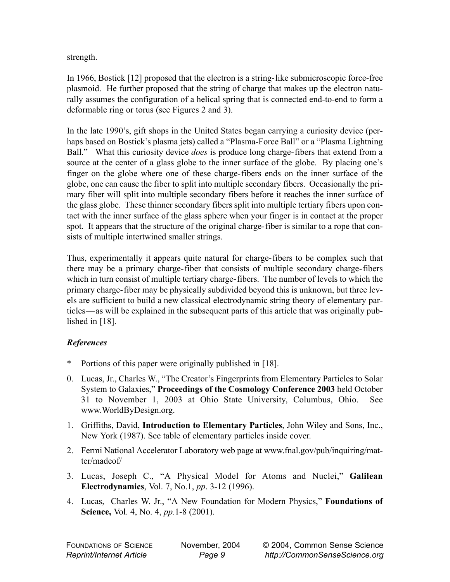strength.

In 1966, Bostick [12] proposed that the electron is a string-like submicroscopic force-free plasmoid. He further proposed that the string of charge that makes up the electron naturally assumes the configuration of a helical spring that is connected end-to-end to form a deformable ring or torus (see Figures 2 and 3).

In the late 1990's, gift shops in the United States began carrying a curiosity device (perhaps based on Bostick's plasma jets) called a "Plasma-Force Ball" or a "Plasma Lightning Ball." What this curiosity device *does* is produce long charge-fibers that extend from a source at the center of a glass globe to the inner surface of the globe. By placing one's finger on the globe where one of these charge-fibers ends on the inner surface of the globe, one can cause the fiber to split into multiple secondary fibers. Occasionally the primary fiber will split into multiple secondary fibers before it reaches the inner surface of the glass globe. These thinner secondary fibers split into multiple tertiary fibers upon contact with the inner surface of the glass sphere when your finger is in contact at the proper spot. It appears that the structure of the original charge-fiber is similar to a rope that consists of multiple intertwined smaller strings.

Thus, experimentally it appears quite natural for charge-fibers to be complex such that there may be a primary charge-fiber that consists of multiple secondary charge-fibers which in turn consist of multiple tertiary charge-fibers. The number of levels to which the primary charge-fiber may be physically subdivided beyond this is unknown, but three levels are sufficient to build a new classical electrodynamic string theory of elementary particles—as will be explained in the subsequent parts of this article that was originally published in [18].

## *References*

- Portions of this paper were originally published in [18].
- 0. Lucas, Jr., Charles W., "The Creator's Fingerprints from Elementary Particles to Solar System to Galaxies," **Proceedings of the Cosmology Conference 2003** held October 31 to November 1, 2003 at Ohio State University, Columbus, Ohio. See www.WorldByDesign.org.
- 1. Griffiths, David, **Introduction to Elementary Particles**, John Wiley and Sons, Inc., New York (1987). See table of elementary particles inside cover.
- 2. Fermi National Accelerator Laboratory web page at www.fnal.gov/pub/inquiring/matter/madeof/
- 3. Lucas, Joseph C., "A Physical Model for Atoms and Nuclei," **Galilean Electrodynamics**, Vol. 7, No.1, *pp*. 3-12 (1996).
- 4. Lucas, Charles W. Jr., "A New Foundation for Modern Physics," **Foundations of Science,** Vol. 4, No. 4, *pp.*1-8 (2001).